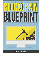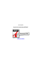*RAY WHITE*

## **BLOCKCHAIN BLUEPRINT**

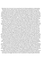Blockchain: this is the word. Are you searching for the Ultimate guidebook to understanding blockchain, bitcoin, cryptocurrencies, smart contracts and the continuing future of cash?is bringing us the web of value: a fresh, distributed platform which will help us reshape the business world and transform the aged order of human affairs for the better. Much like main paradigm shifts that preceded it, the blockchain will generate winners and losers. Governments and companies are rushing to implement blockchain technology in a range of areas that could influence every person on the planet within a few years. Is definitely blockchain technology one of the greatest technological revolutions ever sold or is it just hype? It implies, most importantly, monumental and wide-reaching alter—s sick of paying big charges to send money house to family members. Or a consumer who wants to know where that hamburger meats really came from. Also Bitcoin became a buzzword over night. A cyber-enigma with an enthusiastic following, it arises in headlines and fuels endless press debate.cates to insurance statements and even votes. This raises the issue: Why should anyone value Bitcoin?spread adoption in several areas.In age cryptocurrency, Cybermoney is poised to start a revolution, one which could entirely re-invent traditional financial and social structures while bringing the world's billions of "unbanked" Blockchain is The technology likely to have the best impact on the continuing future of the globe economy is here, and it' Cryptocurrency represents the guarantee of a economic climate with out a middleman, one possessed by the people who use it and one safeguarded from the devastation of a 2008-type crash.But bitcoin, the most famous of the cybermonies, brings with it a popularity for instability, crazy fluctuation, and illicit business; some fear it has the power to eliminate jobs and to upend the concept of a nation-state. Will blockchain technology trigger governments and banking systems to change the way they process information or will it be business as typical?for better and for worse. Nonetheless it is here to stay, and you disregard it at your peril.s already seeing wide individuals right into a brandnew global overall economy.s not self-driving vehicles, solar technology, or artificial cleverness. The first generation of the digital revolution brought us the web of information. The second era— And the ones examples are hardly the tip of the ice This is actually the place. Blockchain is the ingeniously simple, revolutionary protocol that allows transactions to be simultaneously anonymous and secure by maintaining a tamperproof public ledger of value.re an immigrant who's the technology that drives bitcoin and other digital currencies, the underlying framework has the potential to move far beyond these and record virtually everything of worth to humankind, from birth and loss of life certifi You can evidently use it to buy just about anything from espresso to cars, yet few people appear to truly understand what it really is. Thinking about care? Maybe you're a music lover who wants artists to produce a living off their art.ll consider the answers to these questions along with addressing the various sides of the arguments, for and against, blockchain technology. Maybe you' Though it' In this publication, we' Or a business owner searching for a new system to create a business.powered simply by blockchain technology—berg. This technology is public, encrypted, and designed for anyone to make use of. It'This is the reason why blockchain is so important.Blockchain isn't just bitcoin, blockchain technology is a lot bigger than bitcoin in fact it is predicted to change the globe. Blockchain